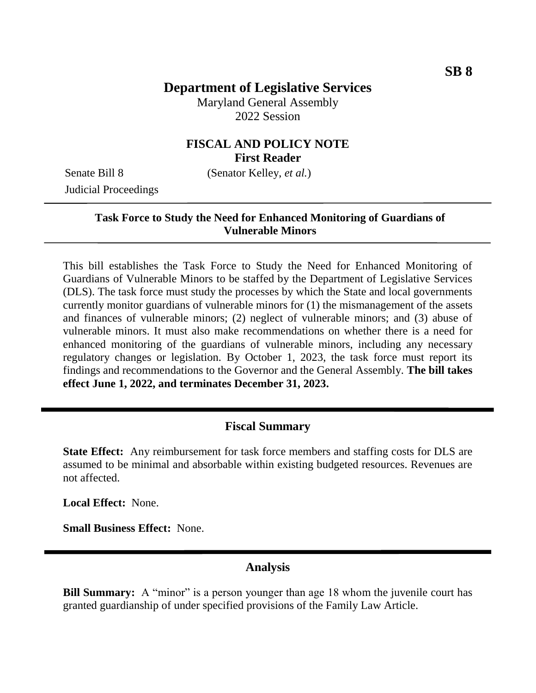# **Department of Legislative Services**

Maryland General Assembly 2022 Session

### **FISCAL AND POLICY NOTE First Reader**

Senate Bill 8 (Senator Kelley, *et al.*) Judicial Proceedings

### **Task Force to Study the Need for Enhanced Monitoring of Guardians of Vulnerable Minors**

This bill establishes the Task Force to Study the Need for Enhanced Monitoring of Guardians of Vulnerable Minors to be staffed by the Department of Legislative Services (DLS). The task force must study the processes by which the State and local governments currently monitor guardians of vulnerable minors for (1) the mismanagement of the assets and finances of vulnerable minors; (2) neglect of vulnerable minors; and (3) abuse of vulnerable minors. It must also make recommendations on whether there is a need for enhanced monitoring of the guardians of vulnerable minors, including any necessary regulatory changes or legislation. By October 1, 2023, the task force must report its findings and recommendations to the Governor and the General Assembly. **The bill takes effect June 1, 2022, and terminates December 31, 2023.**

#### **Fiscal Summary**

**State Effect:** Any reimbursement for task force members and staffing costs for DLS are assumed to be minimal and absorbable within existing budgeted resources. Revenues are not affected.

**Local Effect:** None.

**Small Business Effect:** None.

## **Analysis**

**Bill Summary:** A "minor" is a person younger than age 18 whom the juvenile court has granted guardianship of under specified provisions of the Family Law Article.